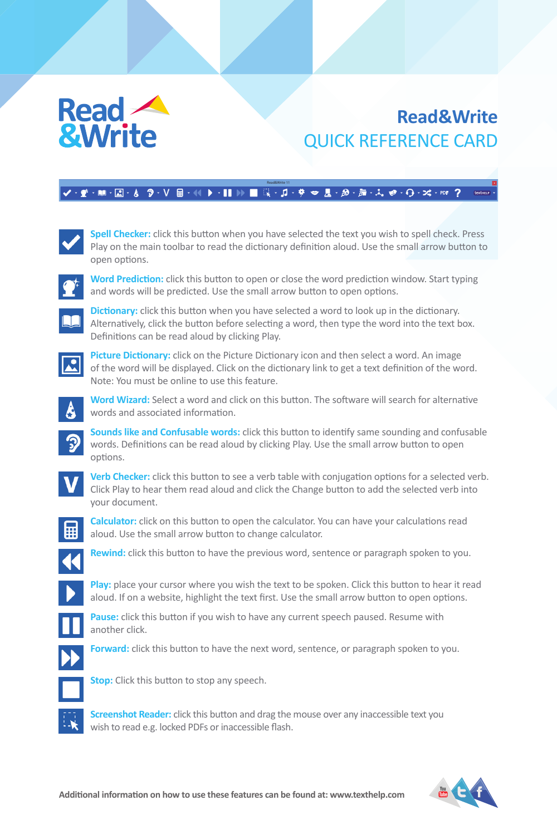# Read **A &Write**

## **Read&Write** QUICK REFERENCE CARD

### **V B-(( ) -|| )) ■ Q-』-テー星-@-左-んゃ-Q-¤-**m



Spell Checker: click this button when you have selected the text you wish to spell check. Press Play on the main toolbar to read the dictionary definition aloud. Use the small arrow button to open options.



**Word Prediction:** click this button to open or close the word prediction window. Start typing and words will be predicted. Use the small arrow button to open options.



**Dictionary:** click this button when you have selected a word to look up in the dictionary. Alternatively, click the button before selecting a word, then type the word into the text box. Definitions can be read aloud by clicking Play.



**Picture Dictionary:** click on the Picture Dictionary icon and then select a word. An image of the word will be displayed. Click on the dictionary link to get a text definition of the word. Note: You must be online to use this feature.



**Word Wizard:** Select a word and click on this button. The software will search for alternative words and associated information.

**Sounds like and Confusable words:** click this button to identify same sounding and confusable words. Definitions can be read aloud by clicking Play. Use the small arrow button to open options.



**Verb Checker:** click this button to see a verb table with conjugation options for a selected verb. Click Play to hear them read aloud and click the Change button to add the selected verb into your document.



**Calculator:** click on this button to open the calculator. You can have your calculations read aloud. Use the small arrow button to change calculator.



**Rewind:** click this button to have the previous word, sentence or paragraph spoken to you.



Play: place your cursor where you wish the text to be spoken. Click this button to hear it read aloud. If on a website, highlight the text first. Use the small arrow button to open options.



**Pause:** click this button if you wish to have any current speech paused. Resume with



another click.

**Forward:** click this button to have the next word, sentence, or paragraph spoken to you.



**Stop:** Click this button to stop any speech.

**Screenshot Reader:** click this button and drag the mouse over any inaccessible text you wish to read e.g. locked PDFs or inaccessible flash.